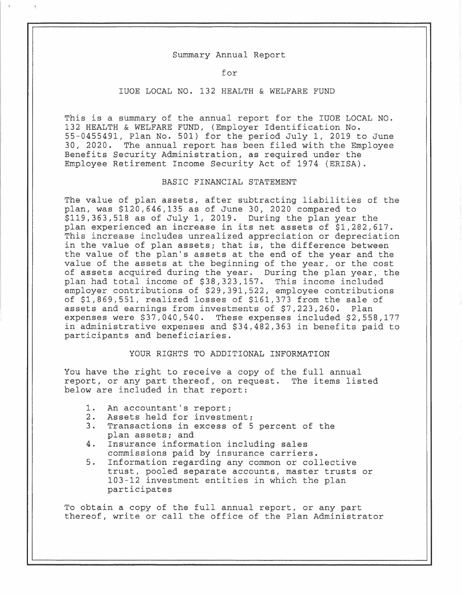#### Summary Annual Report

#### for

## IUOE LOCAL NO. 132 HEALTH & WELFARE FUND

This is a summary of the annual report for the IUOE LOCAL NO. 132 HEALTH & WELFARE FUND, (Employer Identification No. 55-0455491, Plan No. 501) for the period July 1, 2019 to June 30, 2020. The annual report has been filed with the Employee Benefits Security Administration, as required under the Employee Retirement Income Security Act of 1974 (ERISA).

## BASIC FINANCIAL STATEMENT

The value of plan assets, after subtracting liabilities of the plan, was \$120,646,135 as of June 30, 2020 compared to \$119,363,518 as of July 1, 2019. During the plan year the plan experienced an increase in its net assets of \$1,282,617. This increase includes unrealized appreciation or depreciation in the value of plan assets; that is, the difference between the value of the plan's assets at the end of the year and the value of the assets at the beginning of the year, or the cost of assets acquired during the year. During the plan year, the plan had total income of \$38,323,157. This income included employer contributions of \$29,391,522, employee contributions of \$1,869,551, realized losses of \$161,373 from the sale of assets and earnings from investments of \$7,223,260. Plan expenses were \$37,040,540. These expenses included \$2,558,177 in administrative expenses and \$34,482,363 in benefits paid to participants and beneficiaries.

# YOUR RIGHTS TO ADDITIONAL INFORMATION

You have the right to receive a copy of the full annual report, or any part thereof, on request. The items listed below are included in that report:

- 1. An accountant's report;<br>2. Assets held for investm
- Assets held for investment;
- 3. Transactions in excess of 5 percent of the plan assets; and
- 4. Insurance information including sales commissions paid by insurance carriers.
- 5. Information regarding any common or collective trust, pooled separate accounts, master trusts or 103-12 investment entities in which the plan participates

To obtain a copy of the full annual report, or any part thereof, write or call the office of the Plan Administrator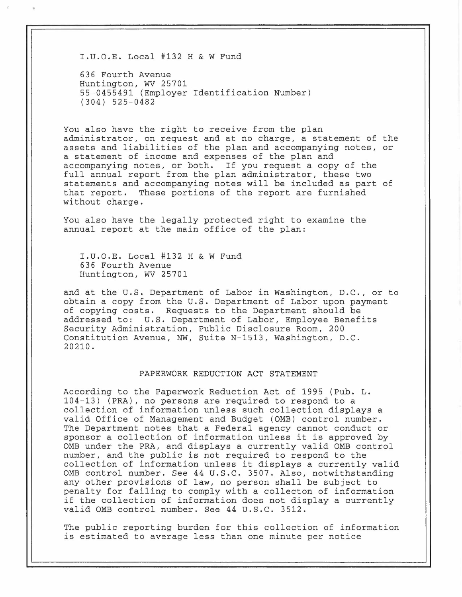I.U.O.E. Local #132 H & w Fund

636 Fourth Avenue Huntington, WV 25701 55-0455491 (Employer Identification Number) (304) 525-0482

You also have the right to receive from the plan administrator, on request and at no charge, a statement of the assets and liabilities of the plan and accompanying notes, or a statement of income and expenses of the plan and accompanying notes, or both. If you request a copy of the full annual report from the plan administrator, these two statements and accompanying notes will be included as part of that report. These portions of the report are furnished without charge.

You also have the legally protected right to examine the annual report at the main office of the plan:

I.U.O.E. Local #132 H & W Fund 636 Fourth Avenue Huntington, WV 25701

and at the U.S. Department of Labor in Washington, D.C., or to obtain a copy from the U.S. Department of Labor upon payment of copying costs. Requests to the Department should be addressed to: U.S. Department of Labor, Employee Benefits Security Administration, Public Disclosure Room, 200 Constitution Avenue, NW, Suite N-1513, Washington, D.C. 20210.

### PAPERWORK REDUCTION ACT STATEMENT

According to the Paperwork Reduction Act of 1995 (Pub. L. 104-13) (PRA), no persons are required to respond to a collection of information unless such collection displays a valid Office of Management and Budget (0MB) control number. The Department notes that a Federal agency cannot conduct or sponsor a collection of information unless it is approved by 0MB under the PRA, and displays a currently valid 0MB control number, and the public is not required to respond to the collection of information unless it displays a currently valid 0MB control number. See 44 u.s.c. 3507. Also, notwithstanding any other provisions of law, no person shall be subject to penalty for failing to comply with a collecton of information if the collection of information does not display a currently valid 0MB control number. See 44 U.S.C. 3512.

The public reporting burden for this collection of information is estimated to average less than one minute per notice